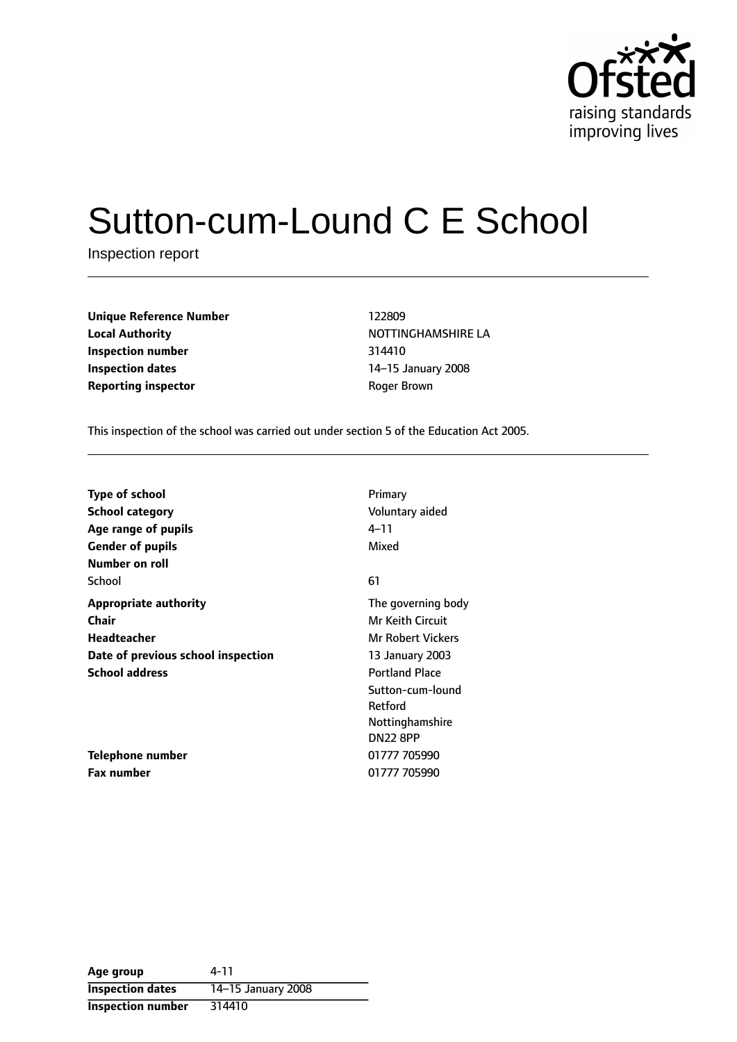

# Sutton-cum-Lound C E School

Inspection report

| <b>Unique Reference Number</b> | 122809            |
|--------------------------------|-------------------|
| <b>Local Authority</b>         | <b>NOTTINGHAM</b> |
| Inspection number              | 314410            |
| <b>Inspection dates</b>        | 14–15 Januar      |
| <b>Reporting inspector</b>     | Roger Brown       |

**Unique Reference Number** 122809 **Local Authority** NOTTINGHAMSHIRE LA **Inspection number** 314410 **Inspection dates** 1415 January 2008

This inspection of the school was carried out under section 5 of the Education Act 2005.

| <b>Type of school</b>              | Primary                  |
|------------------------------------|--------------------------|
| <b>School category</b>             | Voluntary aided          |
| Age range of pupils                | 4–11                     |
| <b>Gender of pupils</b>            | Mixed                    |
| Number on roll                     |                          |
| School                             | 61                       |
| <b>Appropriate authority</b>       | The governing body       |
| Chair                              | <b>Mr Keith Circuit</b>  |
| <b>Headteacher</b>                 | <b>Mr Robert Vickers</b> |
| Date of previous school inspection | 13 January 2003          |
| <b>School address</b>              | <b>Portland Place</b>    |
|                                    | Sutton-cum-lound         |
|                                    | Retford                  |
|                                    | Nottinghamshire          |
|                                    | <b>DN22 8PP</b>          |
| Telephone number                   | 01777 705990             |
| Fax number                         | 01777 705990             |

| Age group                | 4-11               |
|--------------------------|--------------------|
| <b>Inspection dates</b>  | 14-15 January 2008 |
| <b>Inspection number</b> | 314410             |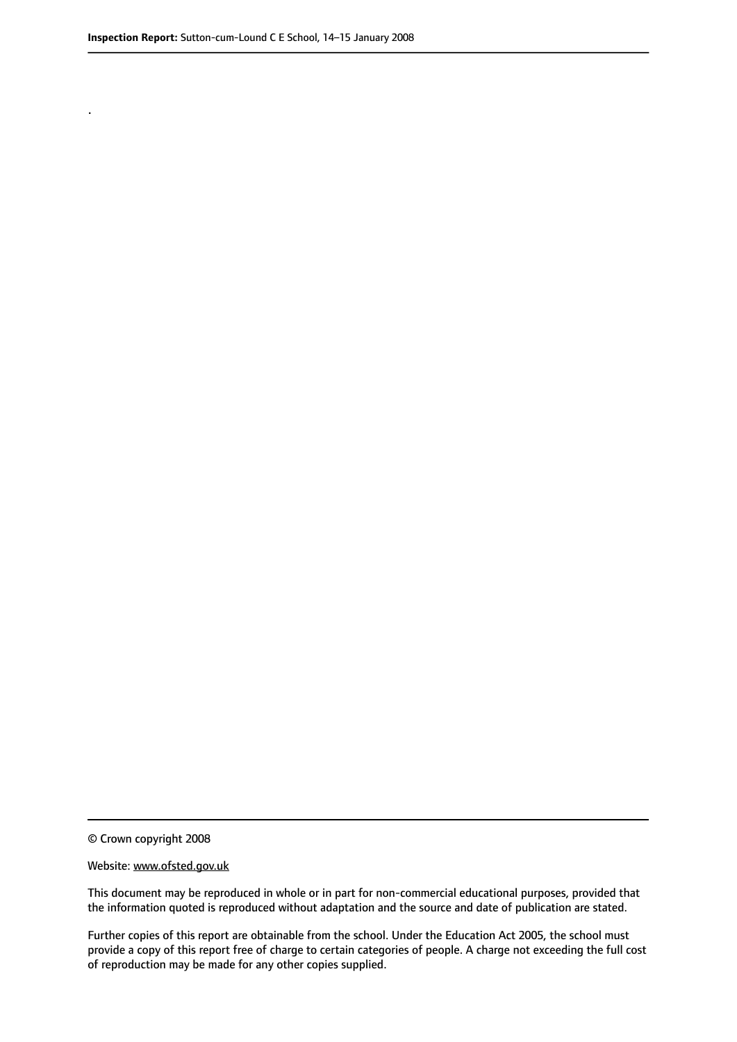.

© Crown copyright 2008

#### Website: www.ofsted.gov.uk

This document may be reproduced in whole or in part for non-commercial educational purposes, provided that the information quoted is reproduced without adaptation and the source and date of publication are stated.

Further copies of this report are obtainable from the school. Under the Education Act 2005, the school must provide a copy of this report free of charge to certain categories of people. A charge not exceeding the full cost of reproduction may be made for any other copies supplied.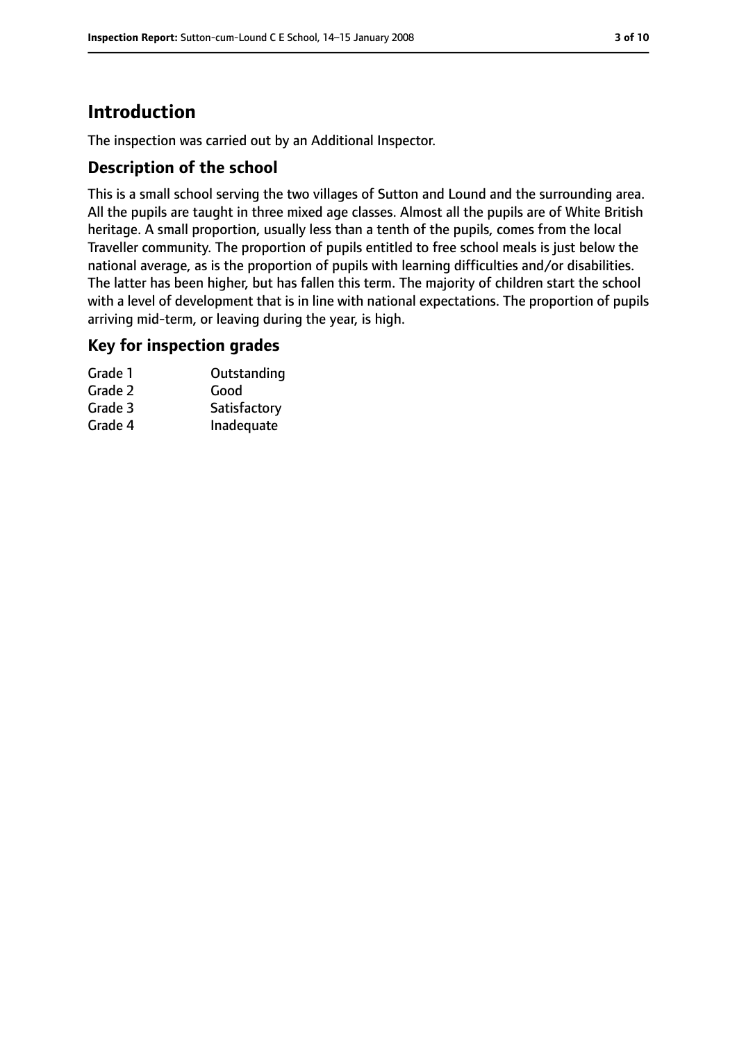## **Introduction**

The inspection was carried out by an Additional Inspector.

## **Description of the school**

This is a small school serving the two villages of Sutton and Lound and the surrounding area. All the pupils are taught in three mixed age classes. Almost all the pupils are of White British heritage. A small proportion, usually less than a tenth of the pupils, comes from the local Traveller community. The proportion of pupils entitled to free school meals is just below the national average, as is the proportion of pupils with learning difficulties and/or disabilities. The latter has been higher, but has fallen this term. The majority of children start the school with a level of development that is in line with national expectations. The proportion of pupils arriving mid-term, or leaving during the year, is high.

#### **Key for inspection grades**

| Grade 1 | Outstanding  |
|---------|--------------|
| Grade 2 | Good         |
| Grade 3 | Satisfactory |
| Grade 4 | Inadequate   |
|         |              |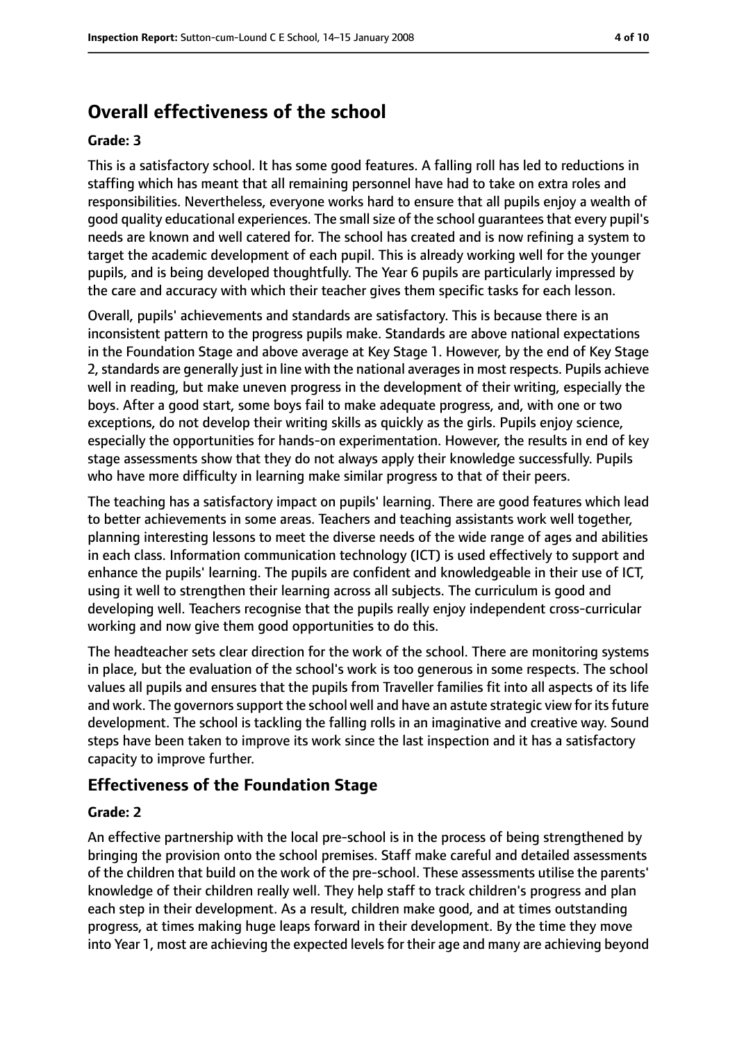## **Overall effectiveness of the school**

#### **Grade: 3**

This is a satisfactory school. It has some good features. A falling roll has led to reductions in staffing which has meant that all remaining personnel have had to take on extra roles and responsibilities. Nevertheless, everyone works hard to ensure that all pupils enjoy a wealth of good quality educational experiences. The small size of the school guarantees that every pupil's needs are known and well catered for. The school has created and is now refining a system to target the academic development of each pupil. This is already working well for the younger pupils, and is being developed thoughtfully. The Year 6 pupils are particularly impressed by the care and accuracy with which their teacher gives them specific tasks for each lesson.

Overall, pupils' achievements and standards are satisfactory. This is because there is an inconsistent pattern to the progress pupils make. Standards are above national expectations in the Foundation Stage and above average at Key Stage 1. However, by the end of Key Stage 2, standards are generally just in line with the national averages in most respects. Pupils achieve well in reading, but make uneven progress in the development of their writing, especially the boys. After a good start, some boys fail to make adequate progress, and, with one or two exceptions, do not develop their writing skills as quickly as the girls. Pupils enjoy science, especially the opportunities for hands-on experimentation. However, the results in end of key stage assessments show that they do not always apply their knowledge successfully. Pupils who have more difficulty in learning make similar progress to that of their peers.

The teaching has a satisfactory impact on pupils' learning. There are good features which lead to better achievements in some areas. Teachers and teaching assistants work well together, planning interesting lessons to meet the diverse needs of the wide range of ages and abilities in each class. Information communication technology (ICT) is used effectively to support and enhance the pupils' learning. The pupils are confident and knowledgeable in their use of ICT, using it well to strengthen their learning across all subjects. The curriculum is good and developing well. Teachers recognise that the pupils really enjoy independent cross-curricular working and now give them good opportunities to do this.

The headteacher sets clear direction for the work of the school. There are monitoring systems in place, but the evaluation of the school's work is too generous in some respects. The school values all pupils and ensures that the pupils from Traveller families fit into all aspects of its life and work. The governors support the school well and have an astute strategic view for its future development. The school is tackling the falling rolls in an imaginative and creative way. Sound steps have been taken to improve its work since the last inspection and it has a satisfactory capacity to improve further.

#### **Effectiveness of the Foundation Stage**

#### **Grade: 2**

An effective partnership with the local pre-school is in the process of being strengthened by bringing the provision onto the school premises. Staff make careful and detailed assessments of the children that build on the work of the pre-school. These assessments utilise the parents' knowledge of their children really well. They help staff to track children's progress and plan each step in their development. As a result, children make good, and at times outstanding progress, at times making huge leaps forward in their development. By the time they move into Year 1, most are achieving the expected levels for their age and many are achieving beyond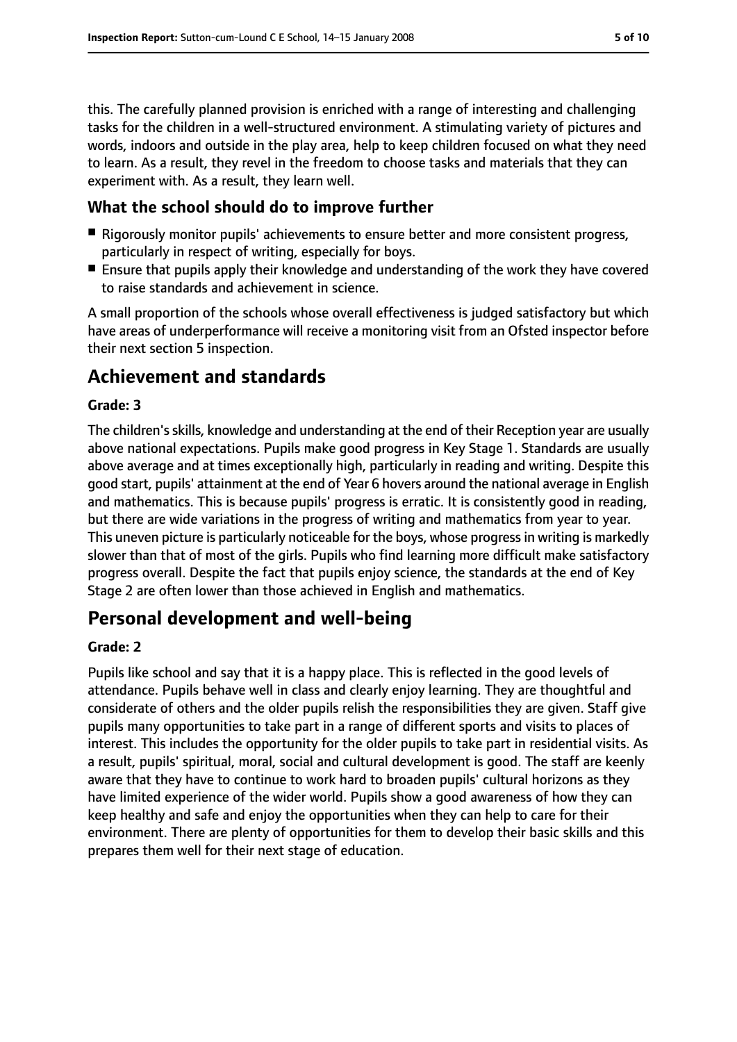this. The carefully planned provision is enriched with a range of interesting and challenging tasks for the children in a well-structured environment. A stimulating variety of pictures and words, indoors and outside in the play area, help to keep children focused on what they need to learn. As a result, they revel in the freedom to choose tasks and materials that they can experiment with. As a result, they learn well.

#### **What the school should do to improve further**

- Rigorously monitor pupils' achievements to ensure better and more consistent progress, particularly in respect of writing, especially for boys.
- Ensure that pupils apply their knowledge and understanding of the work they have covered to raise standards and achievement in science.

A small proportion of the schools whose overall effectiveness is judged satisfactory but which have areas of underperformance will receive a monitoring visit from an Ofsted inspector before their next section 5 inspection.

## **Achievement and standards**

#### **Grade: 3**

The children'sskills, knowledge and understanding at the end of their Reception year are usually above national expectations. Pupils make good progress in Key Stage 1. Standards are usually above average and at times exceptionally high, particularly in reading and writing. Despite this good start, pupils' attainment at the end of Year 6 hovers around the national average in English and mathematics. This is because pupils' progress is erratic. It is consistently good in reading, but there are wide variations in the progress of writing and mathematics from year to year. This uneven picture is particularly noticeable for the boys, whose progress in writing is markedly slower than that of most of the girls. Pupils who find learning more difficult make satisfactory progress overall. Despite the fact that pupils enjoy science, the standards at the end of Key Stage 2 are often lower than those achieved in English and mathematics.

## **Personal development and well-being**

#### **Grade: 2**

Pupils like school and say that it is a happy place. This is reflected in the good levels of attendance. Pupils behave well in class and clearly enjoy learning. They are thoughtful and considerate of others and the older pupils relish the responsibilities they are given. Staff give pupils many opportunities to take part in a range of different sports and visits to places of interest. This includes the opportunity for the older pupils to take part in residential visits. As a result, pupils' spiritual, moral, social and cultural development is good. The staff are keenly aware that they have to continue to work hard to broaden pupils' cultural horizons as they have limited experience of the wider world. Pupils show a good awareness of how they can keep healthy and safe and enjoy the opportunities when they can help to care for their environment. There are plenty of opportunities for them to develop their basic skills and this prepares them well for their next stage of education.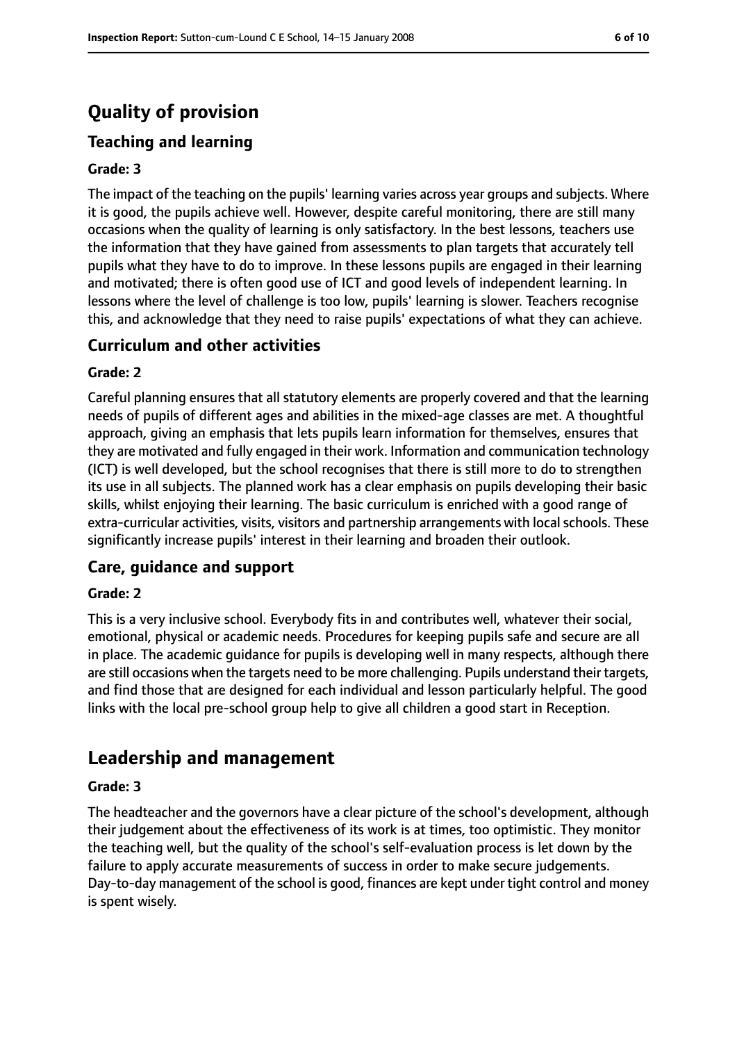# **Quality of provision**

## **Teaching and learning**

#### **Grade: 3**

The impact of the teaching on the pupils' learning varies across year groups and subjects. Where it is good, the pupils achieve well. However, despite careful monitoring, there are still many occasions when the quality of learning is only satisfactory. In the best lessons, teachers use the information that they have gained from assessments to plan targets that accurately tell pupils what they have to do to improve. In these lessons pupils are engaged in their learning and motivated; there is often good use of ICT and good levels of independent learning. In lessons where the level of challenge is too low, pupils' learning is slower. Teachers recognise this, and acknowledge that they need to raise pupils' expectations of what they can achieve.

#### **Curriculum and other activities**

#### **Grade: 2**

Careful planning ensures that all statutory elements are properly covered and that the learning needs of pupils of different ages and abilities in the mixed-age classes are met. A thoughtful approach, giving an emphasis that lets pupils learn information for themselves, ensures that they are motivated and fully engaged in their work. Information and communication technology (ICT) is well developed, but the school recognises that there is still more to do to strengthen its use in all subjects. The planned work has a clear emphasis on pupils developing their basic skills, whilst enjoying their learning. The basic curriculum is enriched with a good range of extra-curricular activities, visits, visitors and partnership arrangements with local schools. These significantly increase pupils' interest in their learning and broaden their outlook.

#### **Care, guidance and support**

#### **Grade: 2**

This is a very inclusive school. Everybody fits in and contributes well, whatever their social, emotional, physical or academic needs. Procedures for keeping pupils safe and secure are all in place. The academic guidance for pupils is developing well in many respects, although there are still occasions when the targets need to be more challenging. Pupils understand their targets, and find those that are designed for each individual and lesson particularly helpful. The good links with the local pre-school group help to give all children a good start in Reception.

## **Leadership and management**

#### **Grade: 3**

The headteacher and the governors have a clear picture of the school's development, although their judgement about the effectiveness of its work is at times, too optimistic. They monitor the teaching well, but the quality of the school's self-evaluation process is let down by the failure to apply accurate measurements of success in order to make secure judgements. Day-to-day management of the school is good, finances are kept under tight control and money is spent wisely.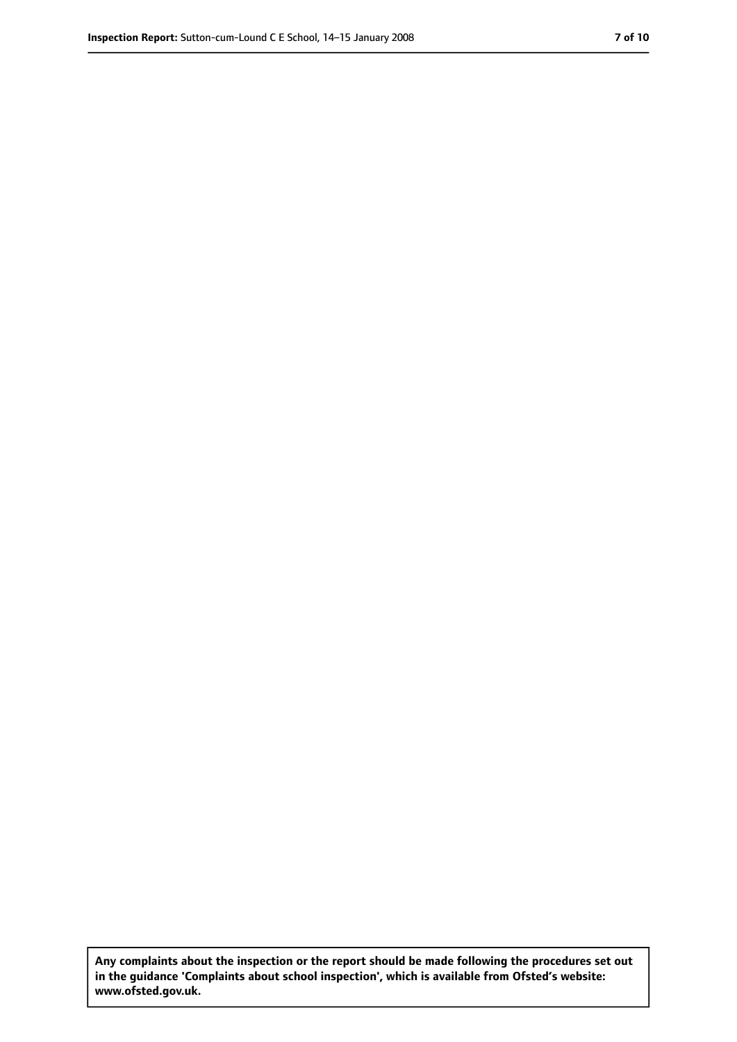**Any complaints about the inspection or the report should be made following the procedures set out in the guidance 'Complaints about school inspection', which is available from Ofsted's website: www.ofsted.gov.uk.**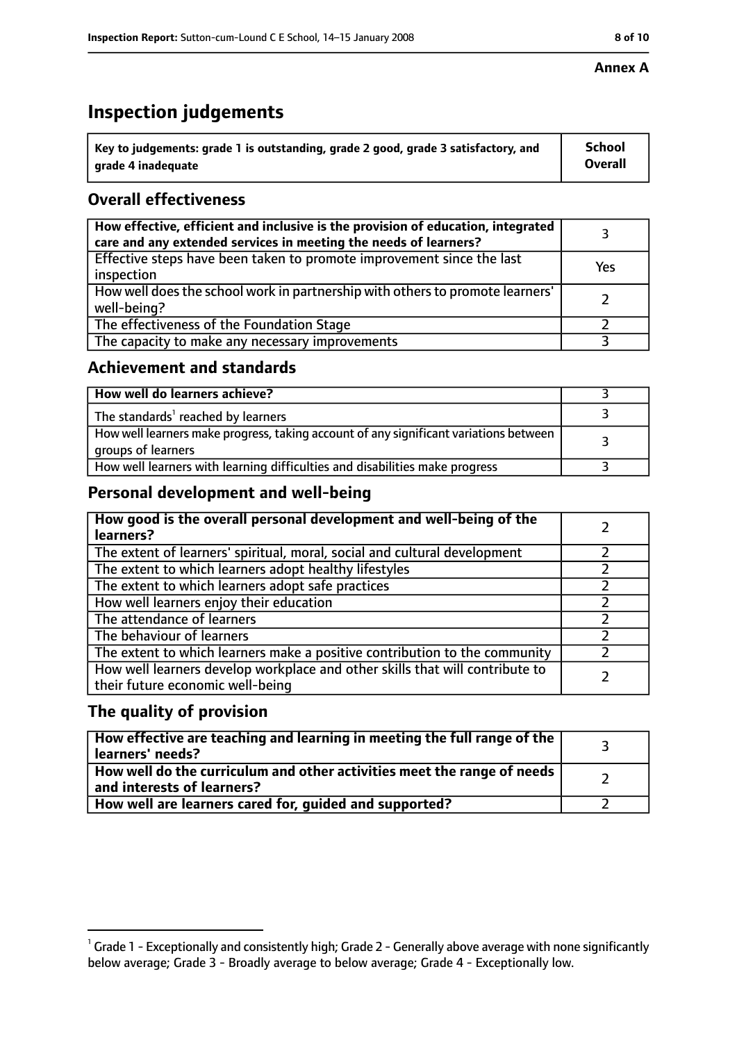# **Inspection judgements**

| $^{\backprime}$ Key to judgements: grade 1 is outstanding, grade 2 good, grade 3 satisfactory, and | <b>School</b>  |
|----------------------------------------------------------------------------------------------------|----------------|
| arade 4 inadeguate                                                                                 | <b>Overall</b> |

## **Overall effectiveness**

| How effective, efficient and inclusive is the provision of education, integrated<br>care and any extended services in meeting the needs of learners? |     |
|------------------------------------------------------------------------------------------------------------------------------------------------------|-----|
| Effective steps have been taken to promote improvement since the last<br>inspection                                                                  | Yes |
| How well does the school work in partnership with others to promote learners'<br>well-being?                                                         |     |
| The effectiveness of the Foundation Stage                                                                                                            |     |
| The capacity to make any necessary improvements                                                                                                      |     |

## **Achievement and standards**

| How well do learners achieve?                                                                               |  |
|-------------------------------------------------------------------------------------------------------------|--|
| The standards <sup>1</sup> reached by learners                                                              |  |
| How well learners make progress, taking account of any significant variations between<br>groups of learners |  |
| How well learners with learning difficulties and disabilities make progress                                 |  |

## **Personal development and well-being**

| How good is the overall personal development and well-being of the<br>learners?                                  |  |
|------------------------------------------------------------------------------------------------------------------|--|
| The extent of learners' spiritual, moral, social and cultural development                                        |  |
| The extent to which learners adopt healthy lifestyles                                                            |  |
| The extent to which learners adopt safe practices                                                                |  |
| How well learners enjoy their education                                                                          |  |
| The attendance of learners                                                                                       |  |
| The behaviour of learners                                                                                        |  |
| The extent to which learners make a positive contribution to the community                                       |  |
| How well learners develop workplace and other skills that will contribute to<br>their future economic well-being |  |

## **The quality of provision**

| How effective are teaching and learning in meeting the full range of the<br>learners' needs?          |  |
|-------------------------------------------------------------------------------------------------------|--|
| How well do the curriculum and other activities meet the range of needs<br>and interests of learners? |  |
| How well are learners cared for, guided and supported?                                                |  |

 $^1$  Grade 1 - Exceptionally and consistently high; Grade 2 - Generally above average with none significantly below average; Grade 3 - Broadly average to below average; Grade 4 - Exceptionally low.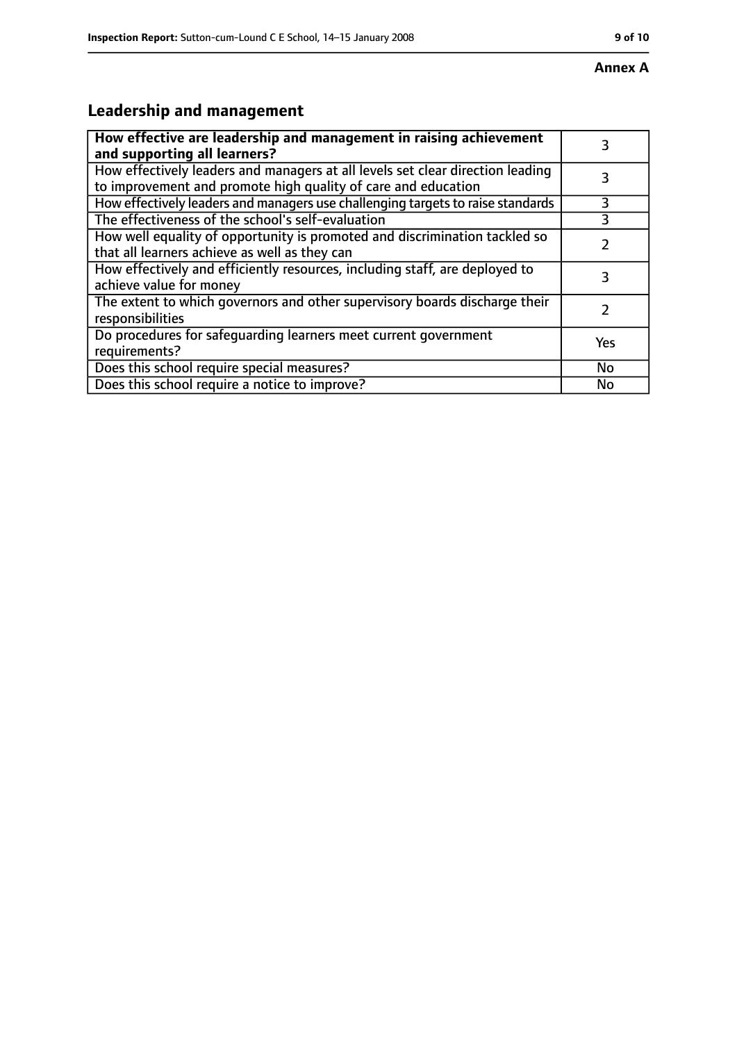# **Leadership and management**

| How effective are leadership and management in raising achievement<br>and supporting all learners?                                              | 3         |
|-------------------------------------------------------------------------------------------------------------------------------------------------|-----------|
| How effectively leaders and managers at all levels set clear direction leading<br>to improvement and promote high quality of care and education |           |
| How effectively leaders and managers use challenging targets to raise standards                                                                 | 3         |
| The effectiveness of the school's self-evaluation                                                                                               |           |
| How well equality of opportunity is promoted and discrimination tackled so<br>that all learners achieve as well as they can                     |           |
| How effectively and efficiently resources, including staff, are deployed to<br>achieve value for money                                          | 3         |
| The extent to which governors and other supervisory boards discharge their<br>responsibilities                                                  |           |
| Do procedures for safequarding learners meet current government<br>requirements?                                                                | Yes       |
| Does this school require special measures?                                                                                                      | <b>No</b> |
| Does this school require a notice to improve?                                                                                                   | No        |